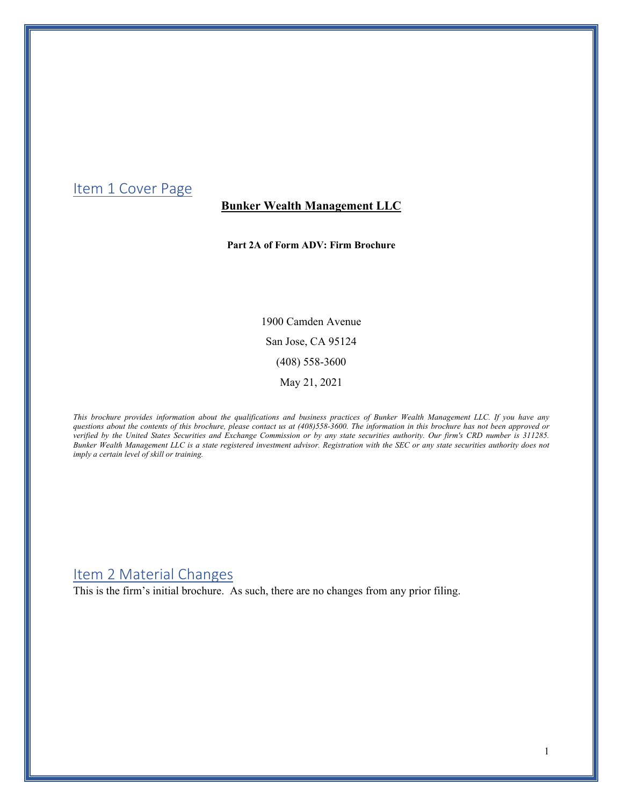### <span id="page-0-0"></span>Item 1 Cover Page

### **Bunker Wealth Management LLC**

**Part 2A of Form ADV: Firm Brochure**

1900 Camden Avenue San Jose, CA 95124 (408) 558-3600 May 21, 2021

*This brochure provides information about the qualifications and business practices of Bunker Wealth Management LLC. If you have any questions about the contents of this brochure, please contact us at (408)558-3600. The information in this brochure has not been approved or verified by the United States Securities and Exchange Commission or by any state securities authority. Our firm's CRD number is 311285. Bunker Wealth Management LLC is a state registered investment advisor. Registration with the SEC or any state securities authority does not imply a certain level of skill or training.* 

### <span id="page-0-1"></span>Item 2 Material Changes

This is the firm's initial brochure. As such, there are no changes from any prior filing.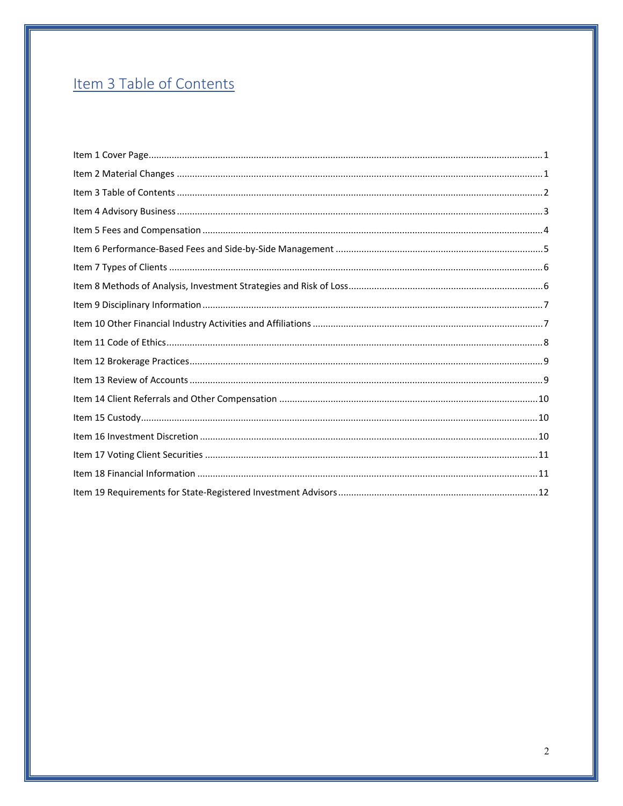# <span id="page-1-0"></span>Item 3 Table of Contents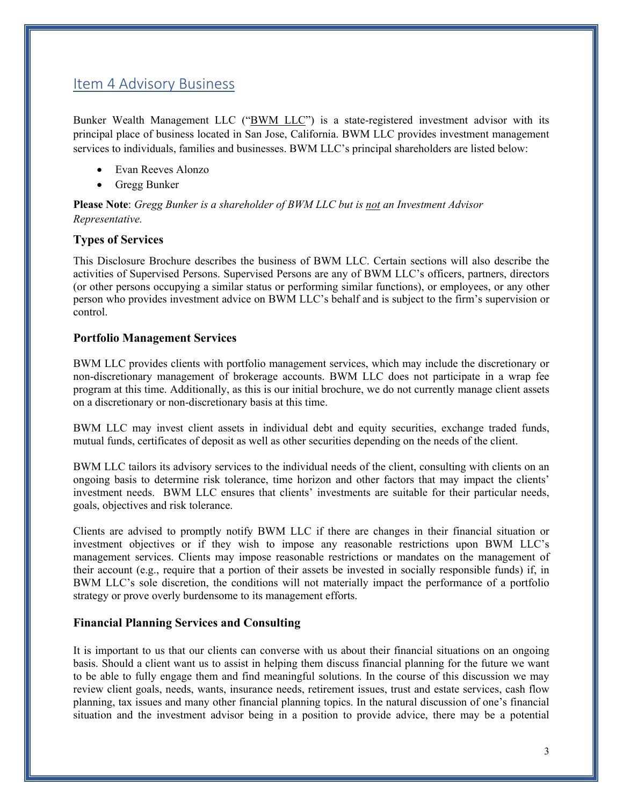### <span id="page-2-0"></span>Item 4 Advisory Business

Bunker Wealth Management LLC ("BWM LLC") is a state-registered investment advisor with its principal place of business located in San Jose, California. BWM LLC provides investment management services to individuals, families and businesses. BWM LLC's principal shareholders are listed below:

- Evan Reeves Alonzo
- Gregg Bunker

**Please Note**: *Gregg Bunker is a shareholder of BWM LLC but is not an Investment Advisor Representative.*

#### **Types of Services**

This Disclosure Brochure describes the business of BWM LLC. Certain sections will also describe the activities of Supervised Persons. Supervised Persons are any of BWM LLC's officers, partners, directors (or other persons occupying a similar status or performing similar functions), or employees, or any other person who provides investment advice on BWM LLC's behalf and is subject to the firm's supervision or control.

#### **Portfolio Management Services**

BWM LLC provides clients with portfolio management services, which may include the discretionary or non-discretionary management of brokerage accounts. BWM LLC does not participate in a wrap fee program at this time. Additionally, as this is our initial brochure, we do not currently manage client assets on a discretionary or non-discretionary basis at this time.

BWM LLC may invest client assets in individual debt and equity securities, exchange traded funds, mutual funds, certificates of deposit as well as other securities depending on the needs of the client.

BWM LLC tailors its advisory services to the individual needs of the client, consulting with clients on an ongoing basis to determine risk tolerance, time horizon and other factors that may impact the clients' investment needs. BWM LLC ensures that clients' investments are suitable for their particular needs, goals, objectives and risk tolerance.

Clients are advised to promptly notify BWM LLC if there are changes in their financial situation or investment objectives or if they wish to impose any reasonable restrictions upon BWM LLC's management services. Clients may impose reasonable restrictions or mandates on the management of their account (e.g., require that a portion of their assets be invested in socially responsible funds) if, in BWM LLC's sole discretion, the conditions will not materially impact the performance of a portfolio strategy or prove overly burdensome to its management efforts.

#### **Financial Planning Services and Consulting**

It is important to us that our clients can converse with us about their financial situations on an ongoing basis. Should a client want us to assist in helping them discuss financial planning for the future we want to be able to fully engage them and find meaningful solutions. In the course of this discussion we may review client goals, needs, wants, insurance needs, retirement issues, trust and estate services, cash flow planning, tax issues and many other financial planning topics. In the natural discussion of one's financial situation and the investment advisor being in a position to provide advice, there may be a potential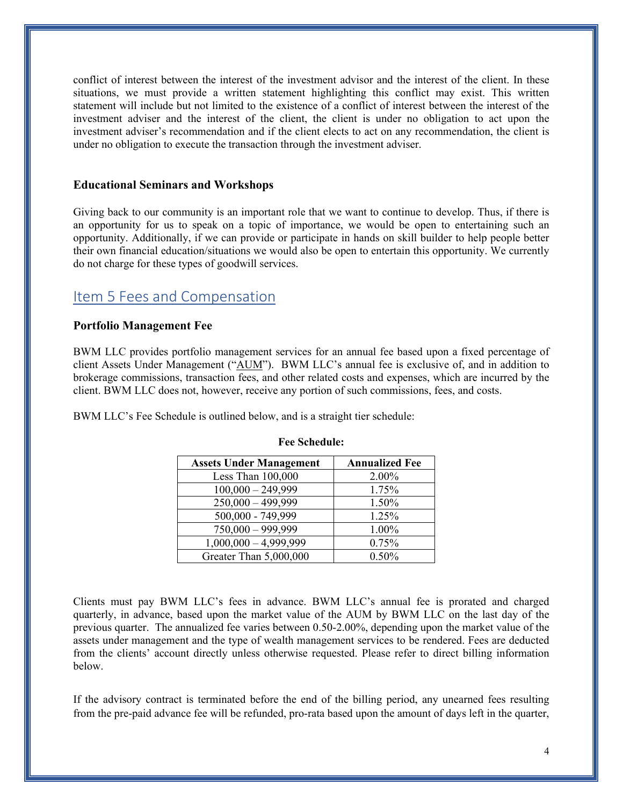conflict of interest between the interest of the investment advisor and the interest of the client. In these situations, we must provide a written statement highlighting this conflict may exist. This written statement will include but not limited to the existence of a conflict of interest between the interest of the investment adviser and the interest of the client, the client is under no obligation to act upon the investment adviser's recommendation and if the client elects to act on any recommendation, the client is under no obligation to execute the transaction through the investment adviser.

#### **Educational Seminars and Workshops**

Giving back to our community is an important role that we want to continue to develop. Thus, if there is an opportunity for us to speak on a topic of importance, we would be open to entertaining such an opportunity. Additionally, if we can provide or participate in hands on skill builder to help people better their own financial education/situations we would also be open to entertain this opportunity. We currently do not charge for these types of goodwill services.

### <span id="page-3-0"></span>Item 5 Fees and Compensation

#### **Portfolio Management Fee**

BWM LLC provides portfolio management services for an annual fee based upon a fixed percentage of client Assets Under Management ("AUM"). BWM LLC's annual fee is exclusive of, and in addition to brokerage commissions, transaction fees, and other related costs and expenses, which are incurred by the client. BWM LLC does not, however, receive any portion of such commissions, fees, and costs.

BWM LLC's Fee Schedule is outlined below, and is a straight tier schedule:

| <b>Assets Under Management</b> | <b>Annualized Fee</b> |
|--------------------------------|-----------------------|
| Less Than $100,000$            | 2.00%                 |
| $100,000 - 249,999$            | 1.75%                 |
| $250,000 - 499,999$            | 1.50%                 |
| 500,000 - 749,999              | 1.25%                 |
| $750,000 - 999,999$            | 1.00%                 |
| $1,000,000 - 4,999,999$        | 0.75%                 |
| Greater Than 5,000,000         | $0.50\%$              |

#### **Fee Schedule:**

Clients must pay BWM LLC's fees in advance. BWM LLC's annual fee is prorated and charged quarterly, in advance, based upon the market value of the AUM by BWM LLC on the last day of the previous quarter. The annualized fee varies between 0.50-2.00%, depending upon the market value of the assets under management and the type of wealth management services to be rendered. Fees are deducted from the clients' account directly unless otherwise requested. Please refer to direct billing information below.

If the advisory contract is terminated before the end of the billing period, any unearned fees resulting from the pre-paid advance fee will be refunded, pro-rata based upon the amount of days left in the quarter,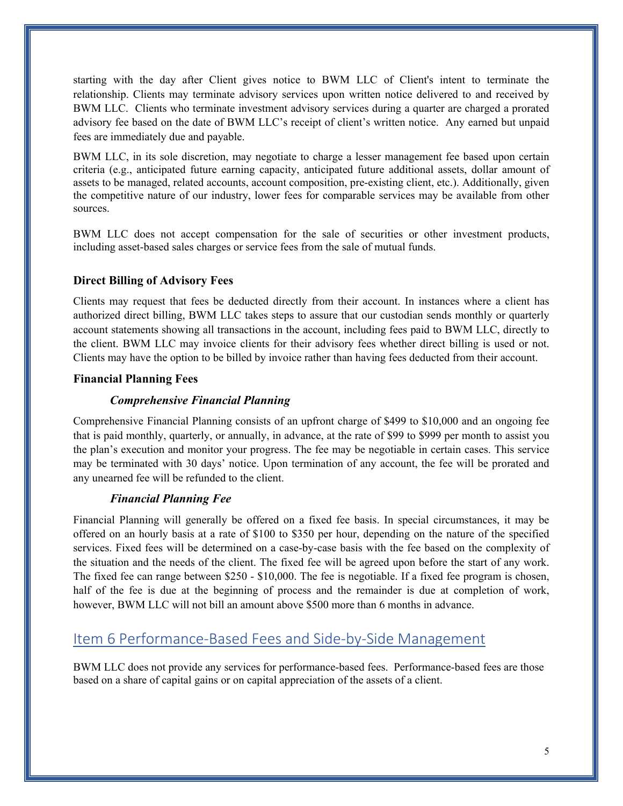starting with the day after Client gives notice to BWM LLC of Client's intent to terminate the relationship. Clients may terminate advisory services upon written notice delivered to and received by BWM LLC. Clients who terminate investment advisory services during a quarter are charged a prorated advisory fee based on the date of BWM LLC's receipt of client's written notice. Any earned but unpaid fees are immediately due and payable.

BWM LLC, in its sole discretion, may negotiate to charge a lesser management fee based upon certain criteria (e.g., anticipated future earning capacity, anticipated future additional assets, dollar amount of assets to be managed, related accounts, account composition, pre-existing client, etc.). Additionally, given the competitive nature of our industry, lower fees for comparable services may be available from other sources.

BWM LLC does not accept compensation for the sale of securities or other investment products, including asset-based sales charges or service fees from the sale of mutual funds.

#### **Direct Billing of Advisory Fees**

Clients may request that fees be deducted directly from their account. In instances where a client has authorized direct billing, BWM LLC takes steps to assure that our custodian sends monthly or quarterly account statements showing all transactions in the account, including fees paid to BWM LLC, directly to the client. BWM LLC may invoice clients for their advisory fees whether direct billing is used or not. Clients may have the option to be billed by invoice rather than having fees deducted from their account.

#### **Financial Planning Fees**

#### *Comprehensive Financial Planning*

Comprehensive Financial Planning consists of an upfront charge of \$499 to \$10,000 and an ongoing fee that is paid monthly, quarterly, or annually, in advance, at the rate of \$99 to \$999 per month to assist you the plan's execution and monitor your progress. The fee may be negotiable in certain cases. This service may be terminated with 30 days' notice. Upon termination of any account, the fee will be prorated and any unearned fee will be refunded to the client.

#### *Financial Planning Fee*

Financial Planning will generally be offered on a fixed fee basis. In special circumstances, it may be offered on an hourly basis at a rate of \$100 to \$350 per hour, depending on the nature of the specified services. Fixed fees will be determined on a case-by-case basis with the fee based on the complexity of the situation and the needs of the client. The fixed fee will be agreed upon before the start of any work. The fixed fee can range between \$250 - \$10,000. The fee is negotiable. If a fixed fee program is chosen, half of the fee is due at the beginning of process and the remainder is due at completion of work, however, BWM LLC will not bill an amount above \$500 more than 6 months in advance.

## <span id="page-4-0"></span>Item 6 Performance-Based Fees and Side-by-Side Management

BWM LLC does not provide any services for performance-based fees. Performance-based fees are those based on a share of capital gains or on capital appreciation of the assets of a client.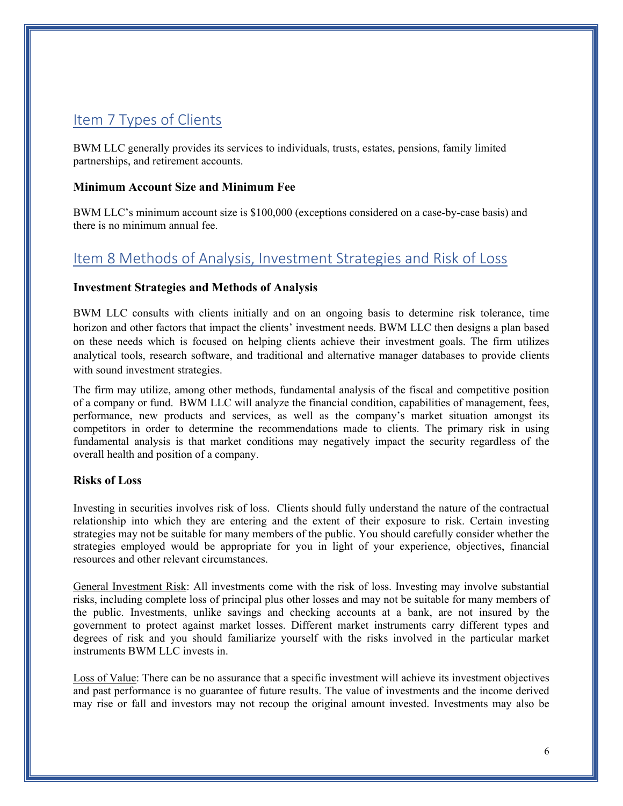## <span id="page-5-0"></span>Item 7 Types of Clients

BWM LLC generally provides its services to individuals, trusts, estates, pensions, family limited partnerships, and retirement accounts.

#### **Minimum Account Size and Minimum Fee**

BWM LLC's minimum account size is \$100,000 (exceptions considered on a case-by-case basis) and there is no minimum annual fee.

## <span id="page-5-1"></span>Item 8 Methods of Analysis, Investment Strategies and Risk of Loss

#### **Investment Strategies and Methods of Analysis**

BWM LLC consults with clients initially and on an ongoing basis to determine risk tolerance, time horizon and other factors that impact the clients' investment needs. BWM LLC then designs a plan based on these needs which is focused on helping clients achieve their investment goals. The firm utilizes analytical tools, research software, and traditional and alternative manager databases to provide clients with sound investment strategies.

The firm may utilize, among other methods, fundamental analysis of the fiscal and competitive position of a company or fund. BWM LLC will analyze the financial condition, capabilities of management, fees, performance, new products and services, as well as the company's market situation amongst its competitors in order to determine the recommendations made to clients. The primary risk in using fundamental analysis is that market conditions may negatively impact the security regardless of the overall health and position of a company.

#### **Risks of Loss**

Investing in securities involves risk of loss. Clients should fully understand the nature of the contractual relationship into which they are entering and the extent of their exposure to risk. Certain investing strategies may not be suitable for many members of the public. You should carefully consider whether the strategies employed would be appropriate for you in light of your experience, objectives, financial resources and other relevant circumstances.

General Investment Risk: All investments come with the risk of loss. Investing may involve substantial risks, including complete loss of principal plus other losses and may not be suitable for many members of the public. Investments, unlike savings and checking accounts at a bank, are not insured by the government to protect against market losses. Different market instruments carry different types and degrees of risk and you should familiarize yourself with the risks involved in the particular market instruments BWM LLC invests in.

Loss of Value: There can be no assurance that a specific investment will achieve its investment objectives and past performance is no guarantee of future results. The value of investments and the income derived may rise or fall and investors may not recoup the original amount invested. Investments may also be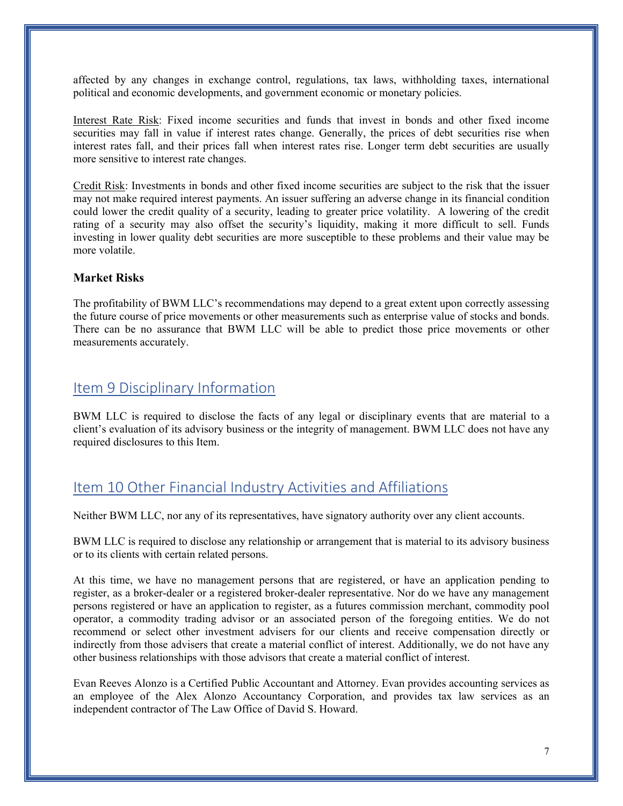affected by any changes in exchange control, regulations, tax laws, withholding taxes, international political and economic developments, and government economic or monetary policies.

Interest Rate Risk: Fixed income securities and funds that invest in bonds and other fixed income securities may fall in value if interest rates change. Generally, the prices of debt securities rise when interest rates fall, and their prices fall when interest rates rise. Longer term debt securities are usually more sensitive to interest rate changes.

Credit Risk: Investments in bonds and other fixed income securities are subject to the risk that the issuer may not make required interest payments. An issuer suffering an adverse change in its financial condition could lower the credit quality of a security, leading to greater price volatility. A lowering of the credit rating of a security may also offset the security's liquidity, making it more difficult to sell. Funds investing in lower quality debt securities are more susceptible to these problems and their value may be more volatile.

#### **Market Risks**

The profitability of BWM LLC's recommendations may depend to a great extent upon correctly assessing the future course of price movements or other measurements such as enterprise value of stocks and bonds. There can be no assurance that BWM LLC will be able to predict those price movements or other measurements accurately.

### <span id="page-6-0"></span>Item 9 Disciplinary Information

BWM LLC is required to disclose the facts of any legal or disciplinary events that are material to a client's evaluation of its advisory business or the integrity of management. BWM LLC does not have any required disclosures to this Item.

### <span id="page-6-1"></span>Item 10 Other Financial Industry Activities and Affiliations

Neither BWM LLC, nor any of its representatives, have signatory authority over any client accounts.

BWM LLC is required to disclose any relationship or arrangement that is material to its advisory business or to its clients with certain related persons.

At this time, we have no management persons that are registered, or have an application pending to register, as a broker-dealer or a registered broker-dealer representative. Nor do we have any management persons registered or have an application to register, as a futures commission merchant, commodity pool operator, a commodity trading advisor or an associated person of the foregoing entities. We do not recommend or select other investment advisers for our clients and receive compensation directly or indirectly from those advisers that create a material conflict of interest. Additionally, we do not have any other business relationships with those advisors that create a material conflict of interest.

Evan Reeves Alonzo is a Certified Public Accountant and Attorney. Evan provides accounting services as an employee of the Alex Alonzo Accountancy Corporation, and provides tax law services as an independent contractor of The Law Office of David S. Howard.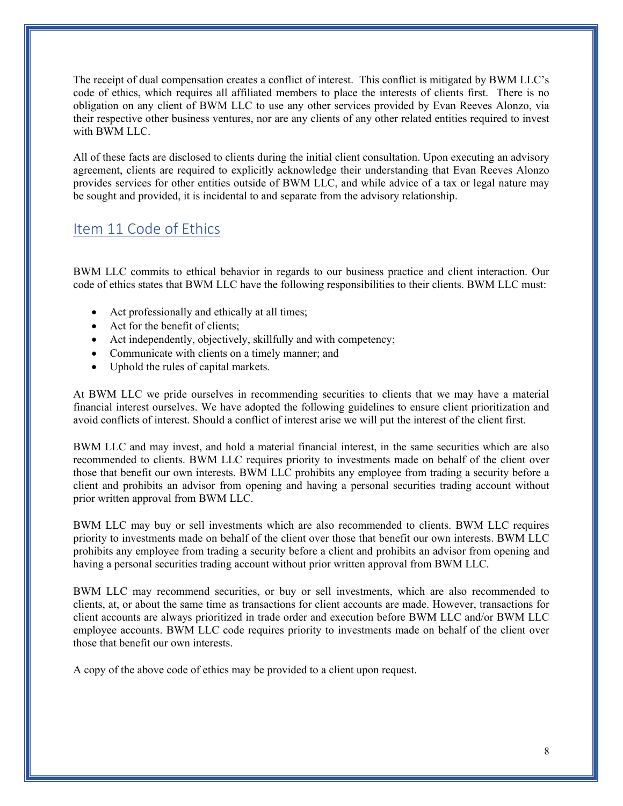The receipt of dual compensation creates a conflict of interest. This conflict is mitigated by BWM LLC's code of ethics, which requires all affiliated members to place the interests of clients first. There is no obligation on any client of BWM LLC to use any other services provided by Evan Reeves Alonzo, via their respective other business ventures, nor are any clients of any other related entities required to invest with BWM LLC.

All of these facts are disclosed to clients during the initial client consultation. Upon executing an advisory agreement, clients are required to explicitly acknowledge their understanding that Evan Reeves Alonzo provides services for other entities outside of BWM LLC, and while advice of a tax or legal nature may be sought and provided, it is incidental to and separate from the advisory relationship.

## <span id="page-7-0"></span>Item 11 Code of Ethics

BWM LLC commits to ethical behavior in regards to our business practice and client interaction. Our code of ethics states that BWM LLC have the following responsibilities to their clients. BWM LLC must:

- Act professionally and ethically at all times;
- Act for the benefit of clients:
- Act independently, objectively, skillfully and with competency;
- Communicate with clients on a timely manner; and
- Uphold the rules of capital markets.

At BWM LLC we pride ourselves in recommending securities to clients that we may have a material financial interest ourselves. We have adopted the following guidelines to ensure client prioritization and avoid conflicts of interest. Should a conflict of interest arise we will put the interest of the client first.

BWM LLC and may invest, and hold a material financial interest, in the same securities which are also recommended to clients. BWM LLC requires priority to investments made on behalf of the client over those that benefit our own interests. BWM LLC prohibits any employee from trading a security before a client and prohibits an advisor from opening and having a personal securities trading account without prior written approval from BWM LLC.

BWM LLC may buy or sell investments which are also recommended to clients. BWM LLC requires priority to investments made on behalf of the client over those that benefit our own interests. BWM LLC prohibits any employee from trading a security before a client and prohibits an advisor from opening and having a personal securities trading account without prior written approval from BWM LLC.

BWM LLC may recommend securities, or buy or sell investments, which are also recommended to clients, at, or about the same time as transactions for client accounts are made. However, transactions for client accounts are always prioritized in trade order and execution before BWM LLC and/or BWM LLC employee accounts. BWM LLC code requires priority to investments made on behalf of the client over those that benefit our own interests.

A copy of the above code of ethics may be provided to a client upon request.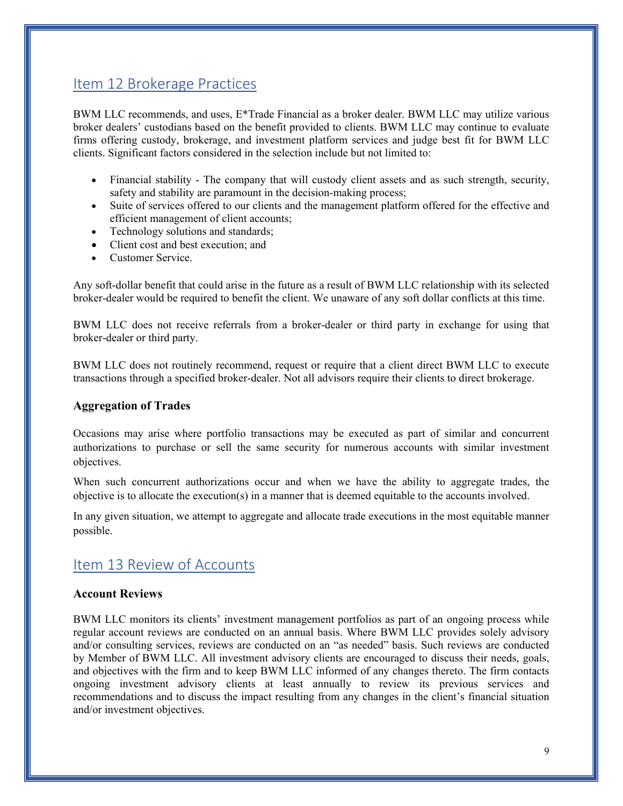## <span id="page-8-0"></span>Item 12 Brokerage Practices

BWM LLC recommends, and uses, E\*Trade Financial as a broker dealer. BWM LLC may utilize various broker dealers' custodians based on the benefit provided to clients. BWM LLC may continue to evaluate firms offering custody, brokerage, and investment platform services and judge best fit for BWM LLC clients. Significant factors considered in the selection include but not limited to:

- Financial stability The company that will custody client assets and as such strength, security, safety and stability are paramount in the decision-making process;
- Suite of services offered to our clients and the management platform offered for the effective and efficient management of client accounts;
- Technology solutions and standards;
- Client cost and best execution; and
- Customer Service.

Any soft-dollar benefit that could arise in the future as a result of BWM LLC relationship with its selected broker-dealer would be required to benefit the client. We unaware of any soft dollar conflicts at this time.

BWM LLC does not receive referrals from a broker-dealer or third party in exchange for using that broker-dealer or third party.

BWM LLC does not routinely recommend, request or require that a client direct BWM LLC to execute transactions through a specified broker-dealer. Not all advisors require their clients to direct brokerage.

#### **Aggregation of Trades**

Occasions may arise where portfolio transactions may be executed as part of similar and concurrent authorizations to purchase or sell the same security for numerous accounts with similar investment objectives.

When such concurrent authorizations occur and when we have the ability to aggregate trades, the objective is to allocate the execution(s) in a manner that is deemed equitable to the accounts involved.

In any given situation, we attempt to aggregate and allocate trade executions in the most equitable manner possible.

## <span id="page-8-1"></span>Item 13 Review of Accounts

#### **Account Reviews**

BWM LLC monitors its clients' investment management portfolios as part of an ongoing process while regular account reviews are conducted on an annual basis. Where BWM LLC provides solely advisory and/or consulting services, reviews are conducted on an "as needed" basis. Such reviews are conducted by Member of BWM LLC. All investment advisory clients are encouraged to discuss their needs, goals, and objectives with the firm and to keep BWM LLC informed of any changes thereto. The firm contacts ongoing investment advisory clients at least annually to review its previous services and recommendations and to discuss the impact resulting from any changes in the client's financial situation and/or investment objectives.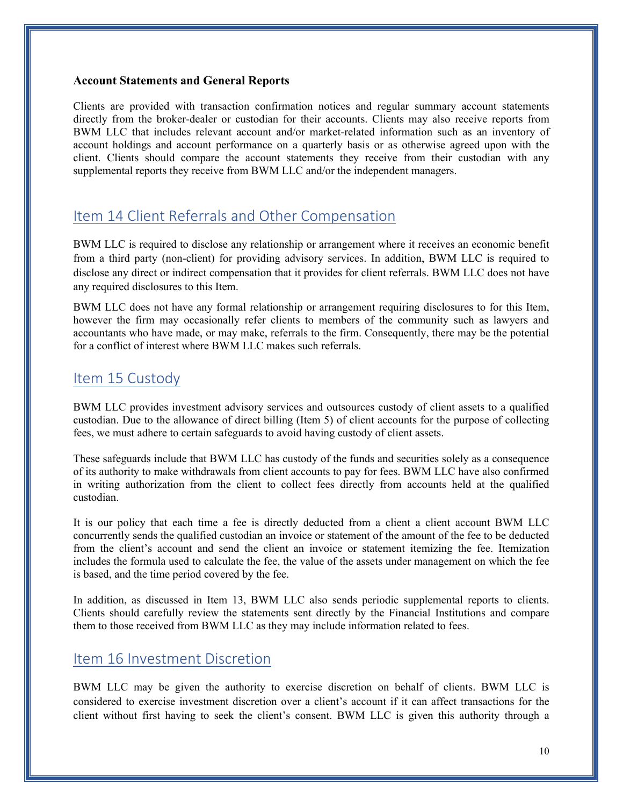#### **Account Statements and General Reports**

Clients are provided with transaction confirmation notices and regular summary account statements directly from the broker-dealer or custodian for their accounts. Clients may also receive reports from BWM LLC that includes relevant account and/or market-related information such as an inventory of account holdings and account performance on a quarterly basis or as otherwise agreed upon with the client. Clients should compare the account statements they receive from their custodian with any supplemental reports they receive from BWM LLC and/or the independent managers.

### <span id="page-9-0"></span>Item 14 Client Referrals and Other Compensation

BWM LLC is required to disclose any relationship or arrangement where it receives an economic benefit from a third party (non-client) for providing advisory services. In addition, BWM LLC is required to disclose any direct or indirect compensation that it provides for client referrals. BWM LLC does not have any required disclosures to this Item.

BWM LLC does not have any formal relationship or arrangement requiring disclosures to for this Item, however the firm may occasionally refer clients to members of the community such as lawyers and accountants who have made, or may make, referrals to the firm. Consequently, there may be the potential for a conflict of interest where BWM LLC makes such referrals.

### <span id="page-9-1"></span>Item 15 Custody

BWM LLC provides investment advisory services and outsources custody of client assets to a qualified custodian. Due to the allowance of direct billing (Item 5) of client accounts for the purpose of collecting fees, we must adhere to certain safeguards to avoid having custody of client assets.

These safeguards include that BWM LLC has custody of the funds and securities solely as a consequence of its authority to make withdrawals from client accounts to pay for fees. BWM LLC have also confirmed in writing authorization from the client to collect fees directly from accounts held at the qualified custodian.

It is our policy that each time a fee is directly deducted from a client a client account BWM LLC concurrently sends the qualified custodian an invoice or statement of the amount of the fee to be deducted from the client's account and send the client an invoice or statement itemizing the fee. Itemization includes the formula used to calculate the fee, the value of the assets under management on which the fee is based, and the time period covered by the fee.

In addition, as discussed in Item 13, BWM LLC also sends periodic supplemental reports to clients. Clients should carefully review the statements sent directly by the Financial Institutions and compare them to those received from BWM LLC as they may include information related to fees.

### <span id="page-9-2"></span>Item 16 Investment Discretion

BWM LLC may be given the authority to exercise discretion on behalf of clients. BWM LLC is considered to exercise investment discretion over a client's account if it can affect transactions for the client without first having to seek the client's consent. BWM LLC is given this authority through a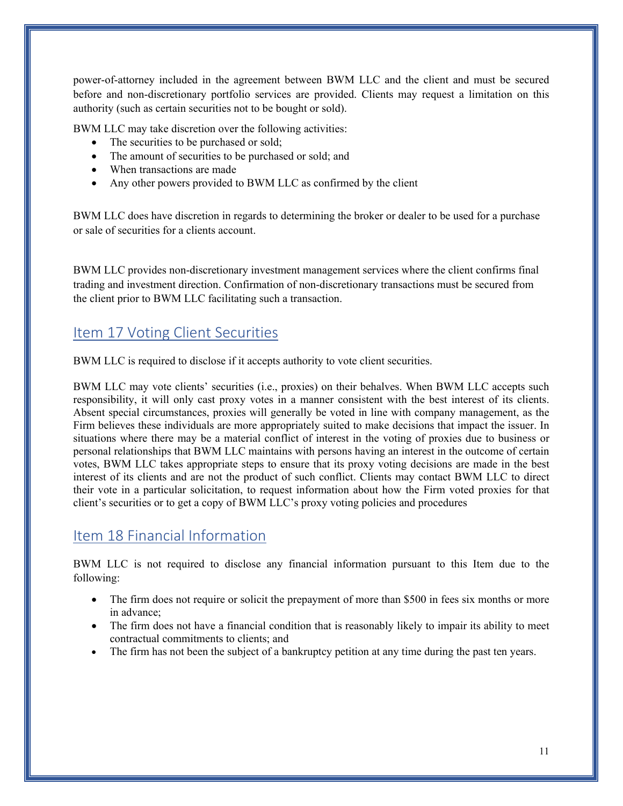power-of-attorney included in the agreement between BWM LLC and the client and must be secured before and non-discretionary portfolio services are provided. Clients may request a limitation on this authority (such as certain securities not to be bought or sold).

BWM LLC may take discretion over the following activities:

- The securities to be purchased or sold;
- The amount of securities to be purchased or sold; and
- When transactions are made
- Any other powers provided to BWM LLC as confirmed by the client

BWM LLC does have discretion in regards to determining the broker or dealer to be used for a purchase or sale of securities for a clients account.

BWM LLC provides non-discretionary investment management services where the client confirms final trading and investment direction. Confirmation of non-discretionary transactions must be secured from the client prior to BWM LLC facilitating such a transaction.

## <span id="page-10-0"></span>Item 17 Voting Client Securities

BWM LLC is required to disclose if it accepts authority to vote client securities.

BWM LLC may vote clients' securities (i.e., proxies) on their behalves. When BWM LLC accepts such responsibility, it will only cast proxy votes in a manner consistent with the best interest of its clients. Absent special circumstances, proxies will generally be voted in line with company management, as the Firm believes these individuals are more appropriately suited to make decisions that impact the issuer. In situations where there may be a material conflict of interest in the voting of proxies due to business or personal relationships that BWM LLC maintains with persons having an interest in the outcome of certain votes, BWM LLC takes appropriate steps to ensure that its proxy voting decisions are made in the best interest of its clients and are not the product of such conflict. Clients may contact BWM LLC to direct their vote in a particular solicitation, to request information about how the Firm voted proxies for that client's securities or to get a copy of BWM LLC's proxy voting policies and procedures

### <span id="page-10-1"></span>Item 18 Financial Information

BWM LLC is not required to disclose any financial information pursuant to this Item due to the following:

- The firm does not require or solicit the prepayment of more than \$500 in fees six months or more in advance;
- The firm does not have a financial condition that is reasonably likely to impair its ability to meet contractual commitments to clients; and
- The firm has not been the subject of a bankruptcy petition at any time during the past ten years.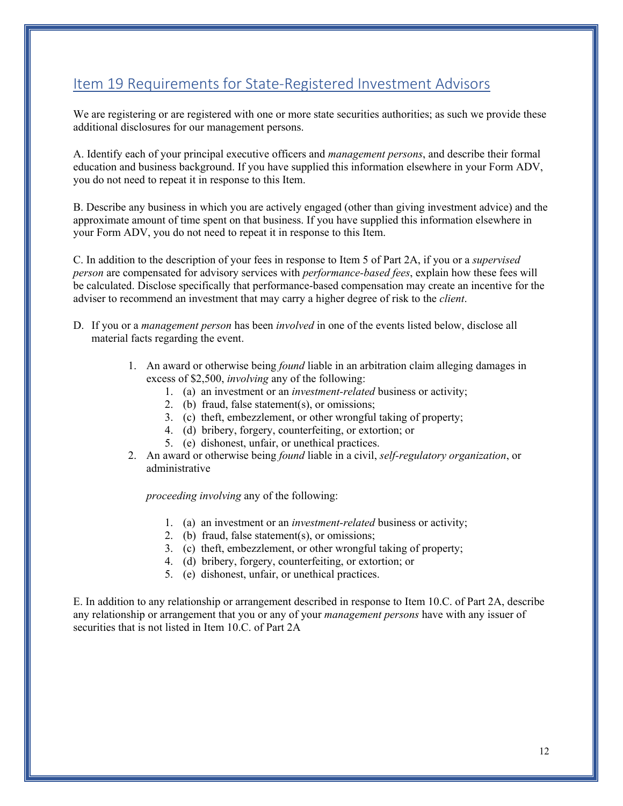## <span id="page-11-0"></span>Item 19 Requirements for State-Registered Investment Advisors

We are registering or are registered with one or more state securities authorities; as such we provide these additional disclosures for our management persons.

A. Identify each of your principal executive officers and *management persons*, and describe their formal education and business background. If you have supplied this information elsewhere in your Form ADV, you do not need to repeat it in response to this Item.

B. Describe any business in which you are actively engaged (other than giving investment advice) and the approximate amount of time spent on that business. If you have supplied this information elsewhere in your Form ADV, you do not need to repeat it in response to this Item.

C. In addition to the description of your fees in response to Item 5 of Part 2A, if you or a *supervised person* are compensated for advisory services with *performance-based fees*, explain how these fees will be calculated. Disclose specifically that performance-based compensation may create an incentive for the adviser to recommend an investment that may carry a higher degree of risk to the *client*.

- D. If you or a *management person* has been *involved* in one of the events listed below, disclose all material facts regarding the event.
	- 1. An award or otherwise being *found* liable in an arbitration claim alleging damages in excess of \$2,500, *involving* any of the following:
		- 1. (a) an investment or an *investment-related* business or activity;
		- 2. (b) fraud, false statement(s), or omissions;
		- 3. (c) theft, embezzlement, or other wrongful taking of property;
		- 4. (d) bribery, forgery, counterfeiting, or extortion; or
		- 5. (e) dishonest, unfair, or unethical practices.
	- 2. An award or otherwise being *found* liable in a civil, *self-regulatory organization*, or administrative

*proceeding involving* any of the following:

- 1. (a) an investment or an *investment-related* business or activity;
- 2. (b) fraud, false statement(s), or omissions;
- 3. (c) theft, embezzlement, or other wrongful taking of property;
- 4. (d) bribery, forgery, counterfeiting, or extortion; or
- 5. (e) dishonest, unfair, or unethical practices.

E. In addition to any relationship or arrangement described in response to Item 10.C. of Part 2A, describe any relationship or arrangement that you or any of your *management persons* have with any issuer of securities that is not listed in Item 10.C. of Part 2A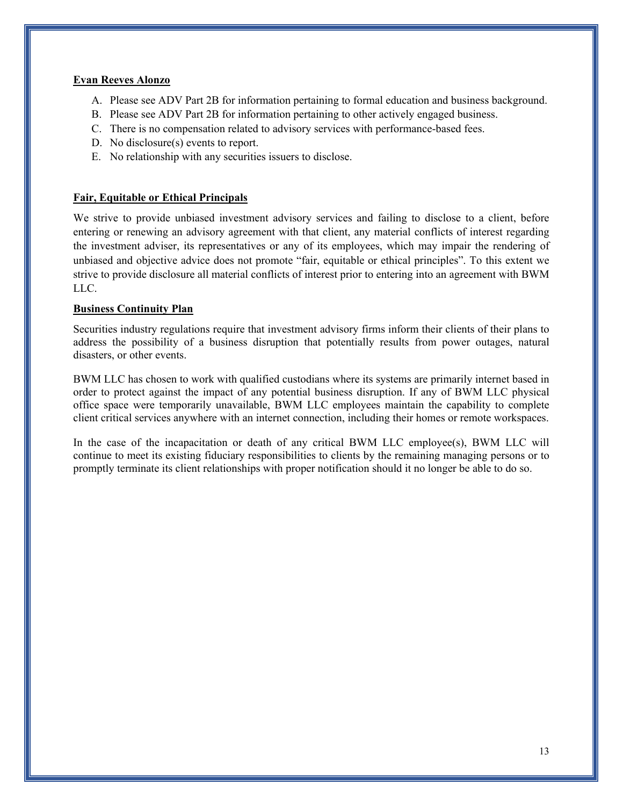#### **Evan Reeves Alonzo**

- A. Please see ADV Part 2B for information pertaining to formal education and business background.
- B. Please see ADV Part 2B for information pertaining to other actively engaged business.
- C. There is no compensation related to advisory services with performance-based fees.
- D. No disclosure(s) events to report.
- E. No relationship with any securities issuers to disclose.

#### **Fair, Equitable or Ethical Principals**

We strive to provide unbiased investment advisory services and failing to disclose to a client, before entering or renewing an advisory agreement with that client, any material conflicts of interest regarding the investment adviser, its representatives or any of its employees, which may impair the rendering of unbiased and objective advice does not promote "fair, equitable or ethical principles". To this extent we strive to provide disclosure all material conflicts of interest prior to entering into an agreement with BWM LLC.

#### **Business Continuity Plan**

Securities industry regulations require that investment advisory firms inform their clients of their plans to address the possibility of a business disruption that potentially results from power outages, natural disasters, or other events.

BWM LLC has chosen to work with qualified custodians where its systems are primarily internet based in order to protect against the impact of any potential business disruption. If any of BWM LLC physical office space were temporarily unavailable, BWM LLC employees maintain the capability to complete client critical services anywhere with an internet connection, including their homes or remote workspaces.

In the case of the incapacitation or death of any critical BWM LLC employee(s), BWM LLC will continue to meet its existing fiduciary responsibilities to clients by the remaining managing persons or to promptly terminate its client relationships with proper notification should it no longer be able to do so.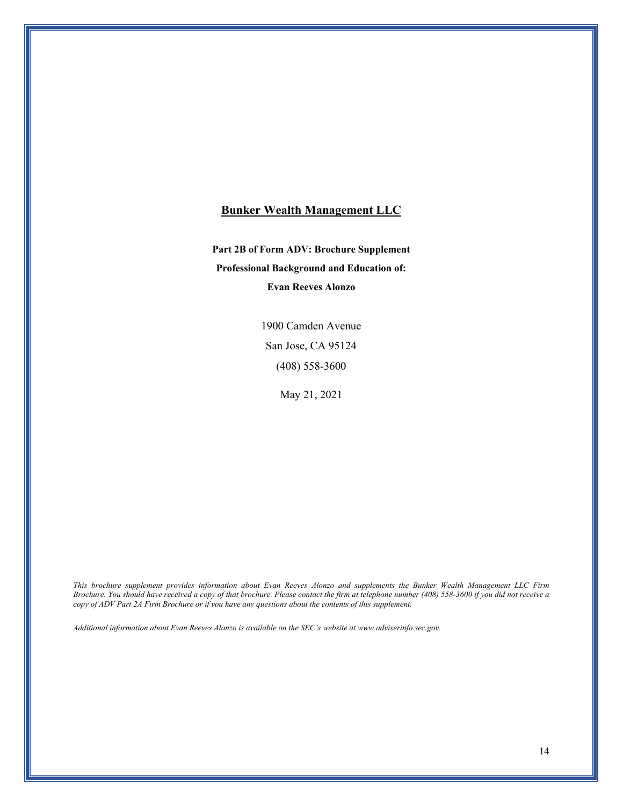#### **Bunker Wealth Management LLC**

**Part 2B of Form ADV: Brochure Supplement Professional Background and Education of: Evan Reeves Alonzo**

> 1900 Camden Avenue San Jose, CA 95124 (408) 558-3600

> > May 21, 2021

*This brochure supplement provides information about Evan Reeves Alonzo and supplements the Bunker Wealth Management LLC Firm Brochure. You should have received a copy of that brochure. Please contact the firm at telephone number (408) 558-3600 if you did not receive a copy of ADV Part 2A Firm Brochure or if you have any questions about the contents of this supplement.* 

*Additional information about Evan Reeves Alonzo is available on the SEC's website at www.adviserinfo.sec.gov.*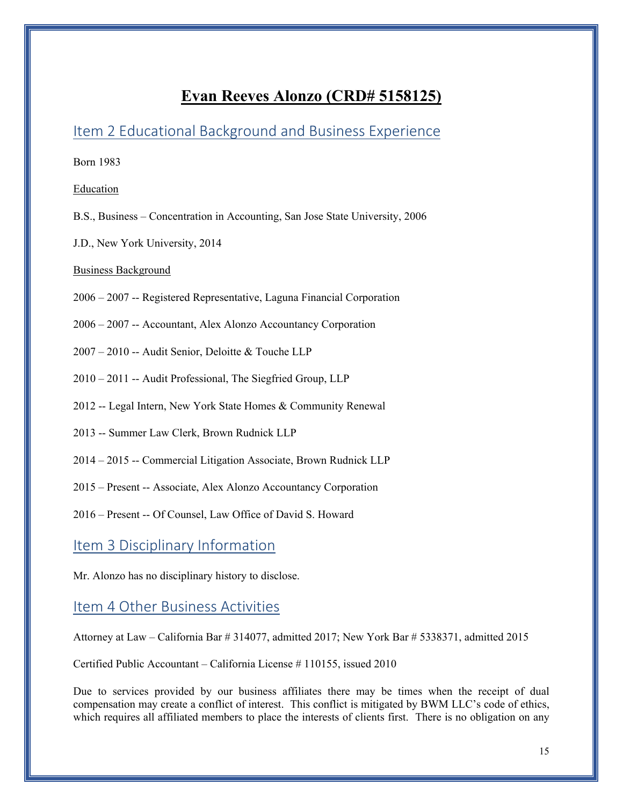## **Evan Reeves Alonzo (CRD# 5158125)**

### Item 2 Educational Background and Business Experience

Born 1983

#### Education

- B.S., Business Concentration in Accounting, San Jose State University, 2006
- J.D., New York University, 2014

#### Business Background

- 2006 2007 -- Registered Representative, Laguna Financial Corporation
- 2006 2007 -- Accountant, Alex Alonzo Accountancy Corporation
- 2007 2010 -- Audit Senior, Deloitte & Touche LLP
- 2010 2011 -- Audit Professional, The Siegfried Group, LLP
- 2012 -- Legal Intern, New York State Homes & Community Renewal
- 2013 -- Summer Law Clerk, Brown Rudnick LLP
- 2014 2015 -- Commercial Litigation Associate, Brown Rudnick LLP
- 2015 Present -- Associate, Alex Alonzo Accountancy Corporation
- 2016 Present -- Of Counsel, Law Office of David S. Howard

### Item 3 Disciplinary Information

Mr. Alonzo has no disciplinary history to disclose.

### Item 4 Other Business Activities

Attorney at Law – California Bar # 314077, admitted 2017; New York Bar # 5338371, admitted 2015

Certified Public Accountant – California License # 110155, issued 2010

Due to services provided by our business affiliates there may be times when the receipt of dual compensation may create a conflict of interest. This conflict is mitigated by BWM LLC's code of ethics, which requires all affiliated members to place the interests of clients first. There is no obligation on any